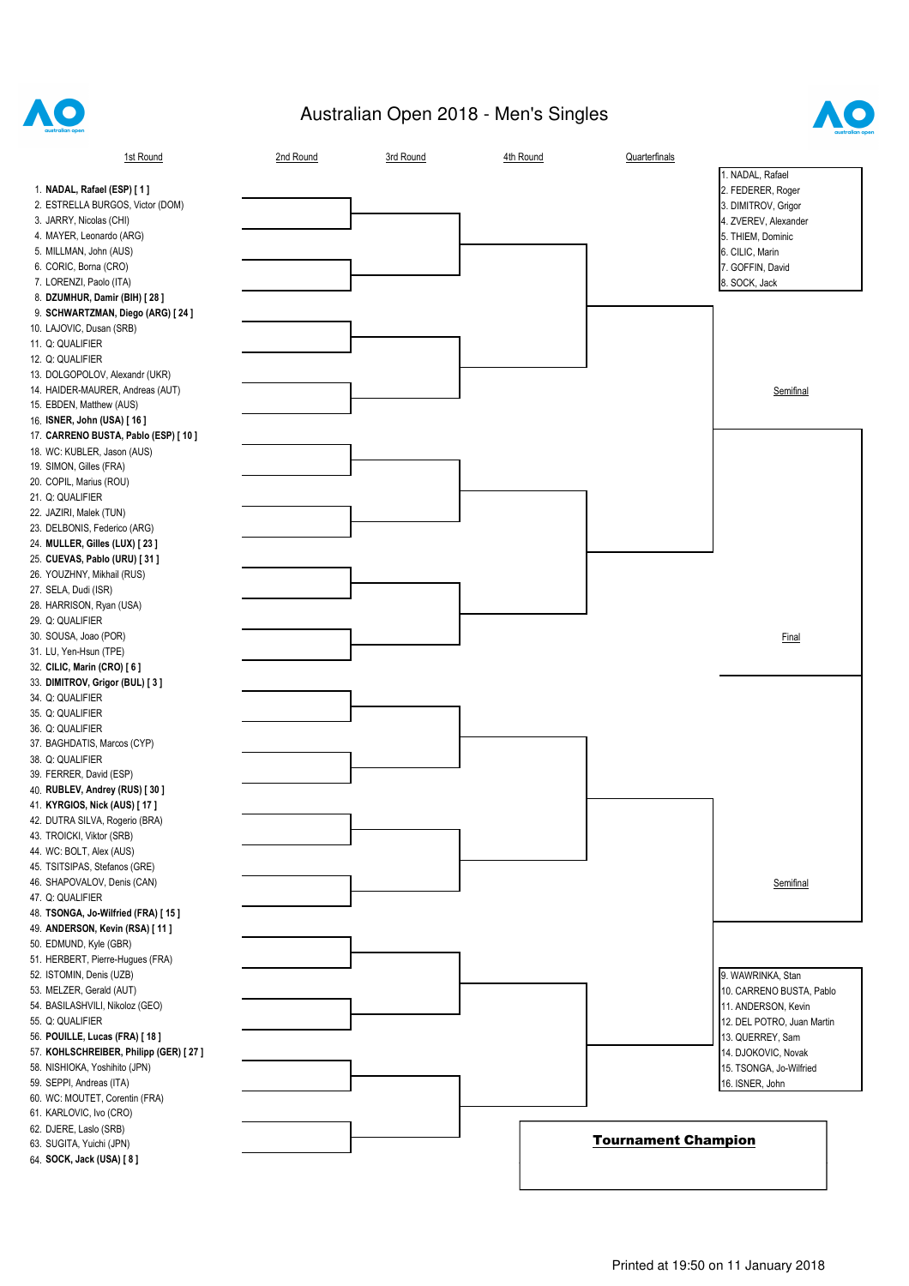

## Australian Open 2018 - Men's Singles